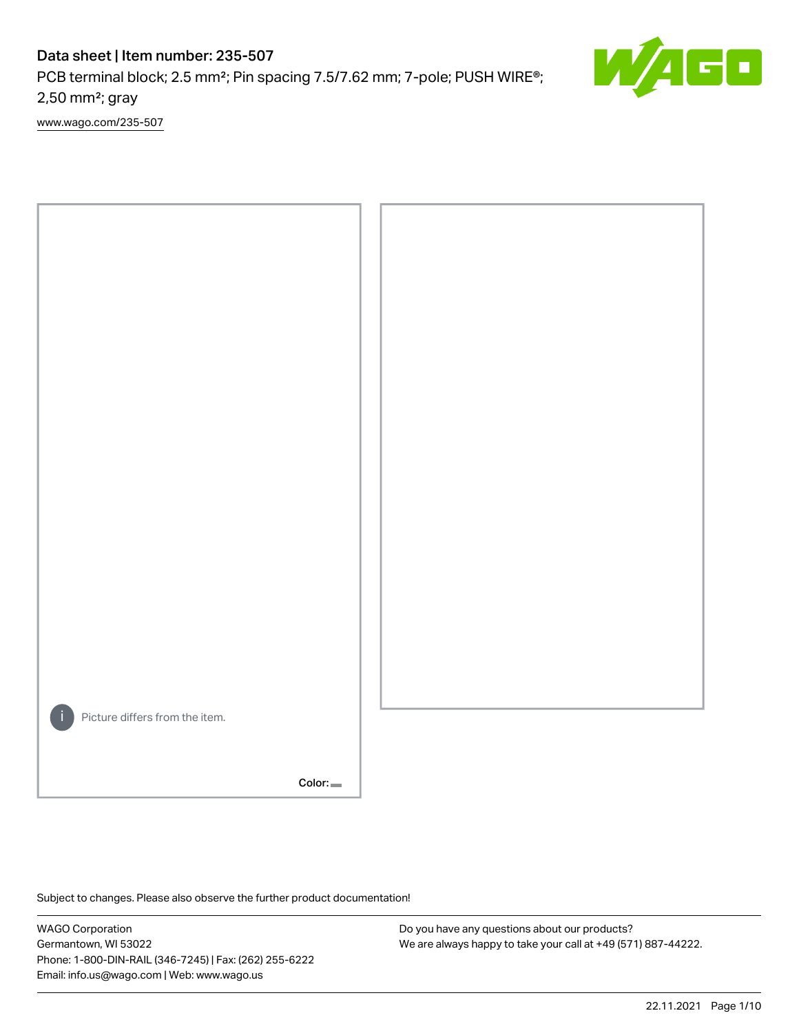PCB terminal block; 2.5 mm<sup>2</sup>; Pin spacing 7.5/7.62 mm; 7-pole; PUSH WIRE<sup>®</sup>; 2,50 mm²; gray

[www.wago.com/235-507](http://www.wago.com/235-507)



Color:

Subject to changes. Please also observe the further product documentation!

WAGO Corporation Germantown, WI 53022 Phone: 1-800-DIN-RAIL (346-7245) | Fax: (262) 255-6222 Email: info.us@wago.com | Web: www.wago.us

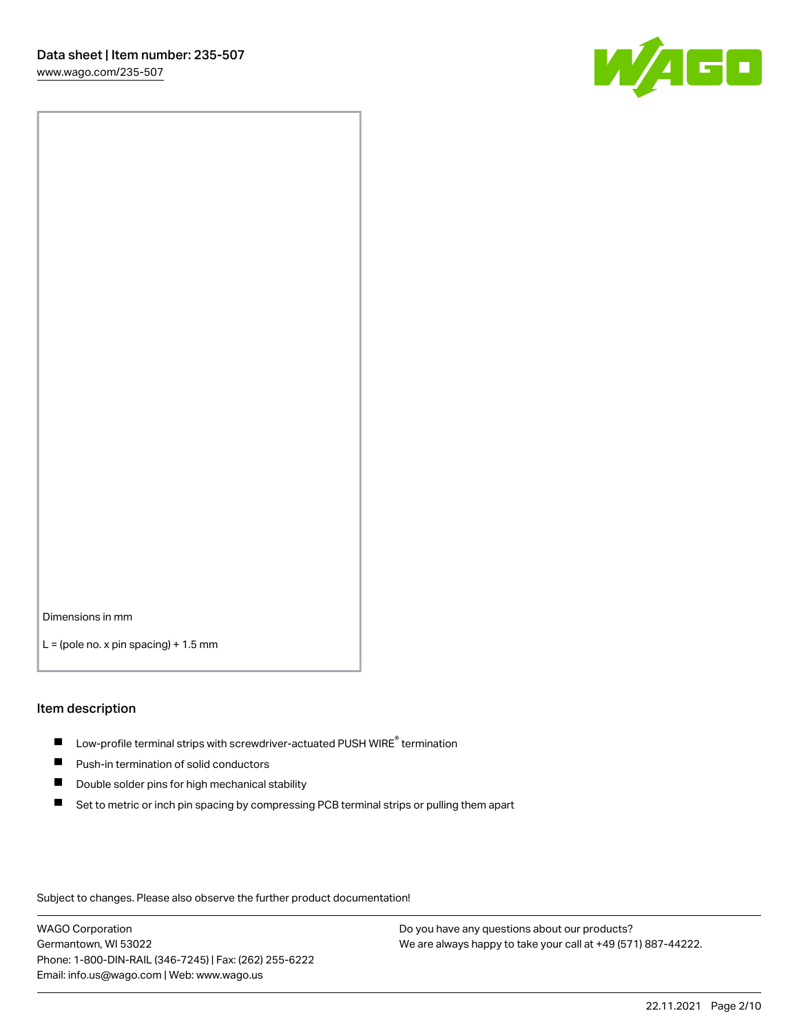

Dimensions in mm

 $L =$  (pole no. x pin spacing) + 1.5 mm

#### Item description

- $\blacksquare$  Low-profile terminal strips with screwdriver-actuated PUSH WIRE<sup>®</sup> termination
- **Push-in termination of solid conductors**
- $\blacksquare$ Double solder pins for high mechanical stability
- П Set to metric or inch pin spacing by compressing PCB terminal strips or pulling them apart

Subject to changes. Please also observe the further product documentation!

WAGO Corporation Germantown, WI 53022 Phone: 1-800-DIN-RAIL (346-7245) | Fax: (262) 255-6222 Email: info.us@wago.com | Web: www.wago.us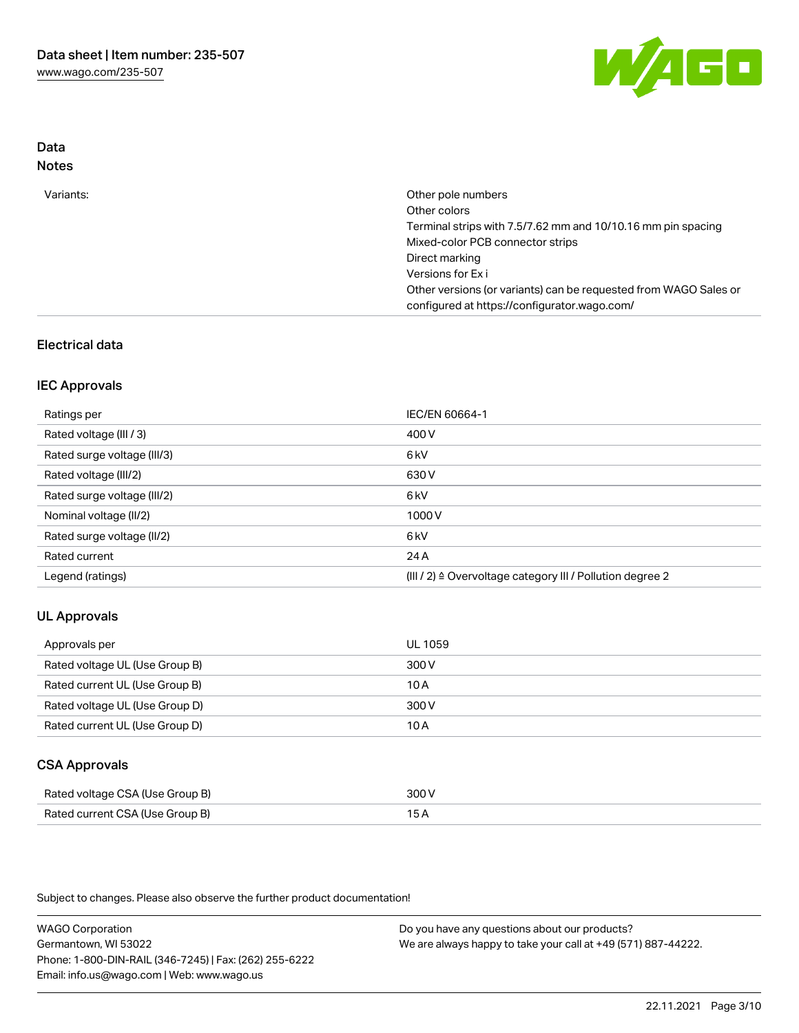

## Data Notes

| Variants: | Other pole numbers                                               |
|-----------|------------------------------------------------------------------|
|           | Other colors                                                     |
|           | Terminal strips with 7.5/7.62 mm and 10/10.16 mm pin spacing     |
|           | Mixed-color PCB connector strips                                 |
|           | Direct marking                                                   |
|           | Versions for Ex i                                                |
|           | Other versions (or variants) can be requested from WAGO Sales or |
|           | configured at https://configurator.wago.com/                     |

## Electrical data

### IEC Approvals

| Ratings per                 | IEC/EN 60664-1                                                        |
|-----------------------------|-----------------------------------------------------------------------|
| Rated voltage (III / 3)     | 400 V                                                                 |
| Rated surge voltage (III/3) | 6 <sub>k</sub> V                                                      |
| Rated voltage (III/2)       | 630 V                                                                 |
| Rated surge voltage (III/2) | 6 <sub>kV</sub>                                                       |
| Nominal voltage (II/2)      | 1000V                                                                 |
| Rated surge voltage (II/2)  | 6 <sub>k</sub> V                                                      |
| Rated current               | 24A                                                                   |
| Legend (ratings)            | $(III / 2)$ $\triangle$ Overvoltage category III / Pollution degree 2 |

## UL Approvals

| Approvals per                  | UL 1059 |
|--------------------------------|---------|
| Rated voltage UL (Use Group B) | 300 V   |
| Rated current UL (Use Group B) | 10A     |
| Rated voltage UL (Use Group D) | 300 V   |
| Rated current UL (Use Group D) | 10 A    |

### CSA Approvals

| Rated voltage CSA (Use Group B) | 300 V |
|---------------------------------|-------|
| Rated current CSA (Use Group B) |       |

Subject to changes. Please also observe the further product documentation!

WAGO Corporation Germantown, WI 53022 Phone: 1-800-DIN-RAIL (346-7245) | Fax: (262) 255-6222 Email: info.us@wago.com | Web: www.wago.us Do you have any questions about our products? We are always happy to take your call at +49 (571) 887-44222.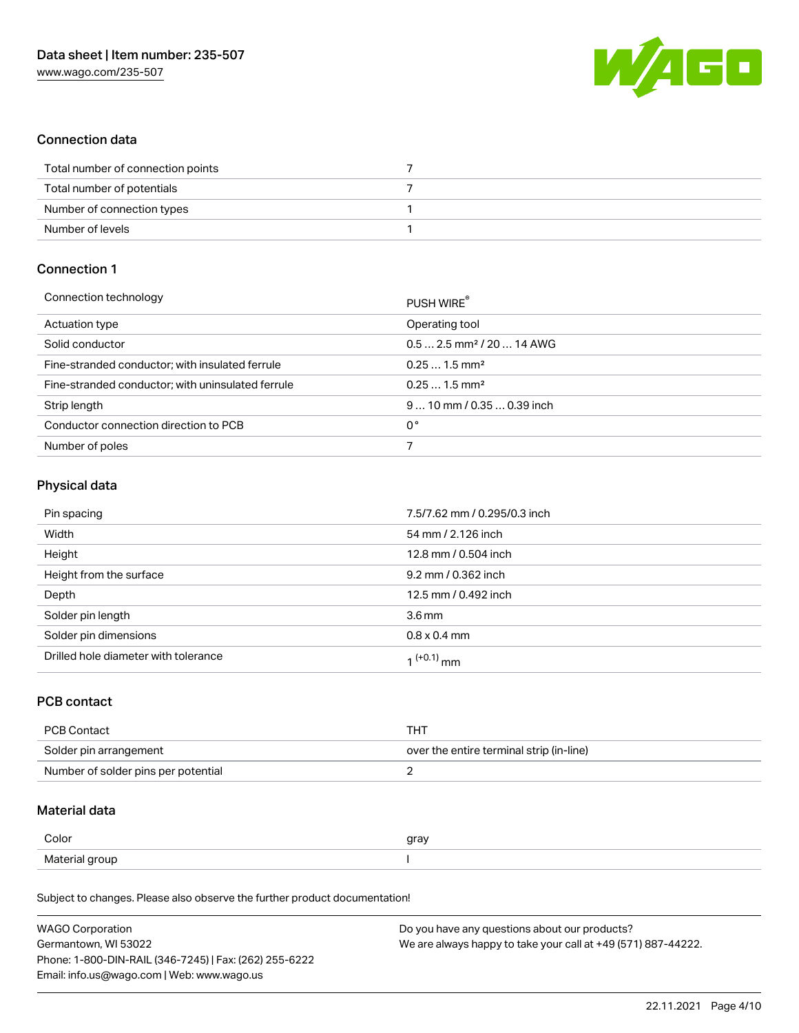

## Connection data

| Total number of connection points |  |
|-----------------------------------|--|
| Total number of potentials        |  |
| Number of connection types        |  |
| Number of levels                  |  |

## Connection 1

| Connection technology                             | PUSH WIRE®                             |
|---------------------------------------------------|----------------------------------------|
| Actuation type                                    | Operating tool                         |
| Solid conductor                                   | $0.5$ 2.5 mm <sup>2</sup> / 20  14 AWG |
| Fine-stranded conductor; with insulated ferrule   | $0.251.5$ mm <sup>2</sup>              |
| Fine-stranded conductor; with uninsulated ferrule | $0.251.5$ mm <sup>2</sup>              |
| Strip length                                      | $910$ mm / 0.35  0.39 inch             |
| Conductor connection direction to PCB             | 0°                                     |
| Number of poles                                   |                                        |

### Physical data

| Pin spacing                          | 7.5/7.62 mm / 0.295/0.3 inch |
|--------------------------------------|------------------------------|
| Width                                | 54 mm / 2.126 inch           |
| Height                               | 12.8 mm / 0.504 inch         |
| Height from the surface              | 9.2 mm / 0.362 inch          |
| Depth                                | 12.5 mm / 0.492 inch         |
| Solder pin length                    | 3.6 <sub>mm</sub>            |
| Solder pin dimensions                | $0.8 \times 0.4$ mm          |
| Drilled hole diameter with tolerance | 1 <sup>(+0.1)</sup> mm       |

## PCB contact

| PCB Contact                         | THT                                      |
|-------------------------------------|------------------------------------------|
| Solder pin arrangement              | over the entire terminal strip (in-line) |
| Number of solder pins per potential |                                          |

### Material data

| Color          | gray |
|----------------|------|
| Material group |      |

Subject to changes. Please also observe the further product documentation!

| <b>WAGO Corporation</b>                                | Do you have any questions about our products?                 |
|--------------------------------------------------------|---------------------------------------------------------------|
| Germantown, WI 53022                                   | We are always happy to take your call at +49 (571) 887-44222. |
| Phone: 1-800-DIN-RAIL (346-7245)   Fax: (262) 255-6222 |                                                               |
| Email: info.us@wago.com   Web: www.wago.us             |                                                               |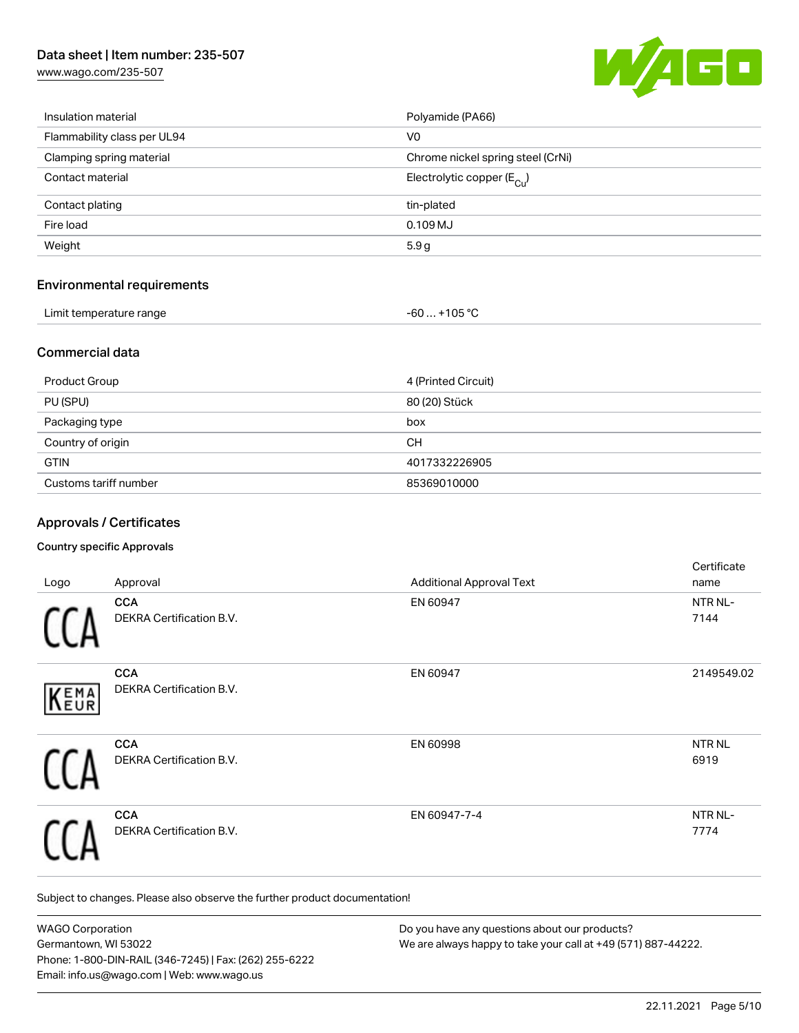[www.wago.com/235-507](http://www.wago.com/235-507)



| Insulation material         | Polyamide (PA66)                        |
|-----------------------------|-----------------------------------------|
| Flammability class per UL94 | V <sub>0</sub>                          |
| Clamping spring material    | Chrome nickel spring steel (CrNi)       |
| Contact material            | Electrolytic copper ( $E_{\text{Cu}}$ ) |
| Contact plating             | tin-plated                              |
| Fire load                   | $0.109$ MJ                              |
| Weight                      | 5.9 <sub>g</sub>                        |
|                             |                                         |

# Environmental requirements

| Limit temperature range | -60  +105 °C |
|-------------------------|--------------|
|                         |              |

### Commercial data

| Product Group         | 4 (Printed Circuit) |
|-----------------------|---------------------|
| PU (SPU)              | 80 (20) Stück       |
| Packaging type        | box                 |
| Country of origin     | CН                  |
| <b>GTIN</b>           | 4017332226905       |
| Customs tariff number | 85369010000         |

## Approvals / Certificates

### Country specific Approvals

|      |                                 |                                 | Certificate       |
|------|---------------------------------|---------------------------------|-------------------|
| Logo | Approval                        | <b>Additional Approval Text</b> | name              |
|      | <b>CCA</b>                      | EN 60947                        | NTR NL-           |
|      | <b>DEKRA Certification B.V.</b> |                                 | 7144              |
|      | <b>CCA</b>                      | EN 60947                        | 2149549.02        |
| KEMA | DEKRA Certification B.V.        |                                 |                   |
|      | <b>CCA</b>                      | EN 60998                        | NTR <sub>NL</sub> |
|      | <b>DEKRA Certification B.V.</b> |                                 | 6919              |
|      | <b>CCA</b>                      | EN 60947-7-4                    | NTR NL-           |
|      | <b>DEKRA Certification B.V.</b> |                                 | 7774              |

Subject to changes. Please also observe the further product documentation!

| <b>WAGO Corporation</b>                                | Do you have any questions about our products?                 |
|--------------------------------------------------------|---------------------------------------------------------------|
| Germantown, WI 53022                                   | We are always happy to take your call at +49 (571) 887-44222. |
| Phone: 1-800-DIN-RAIL (346-7245)   Fax: (262) 255-6222 |                                                               |
| Email: info.us@wago.com   Web: www.wago.us             |                                                               |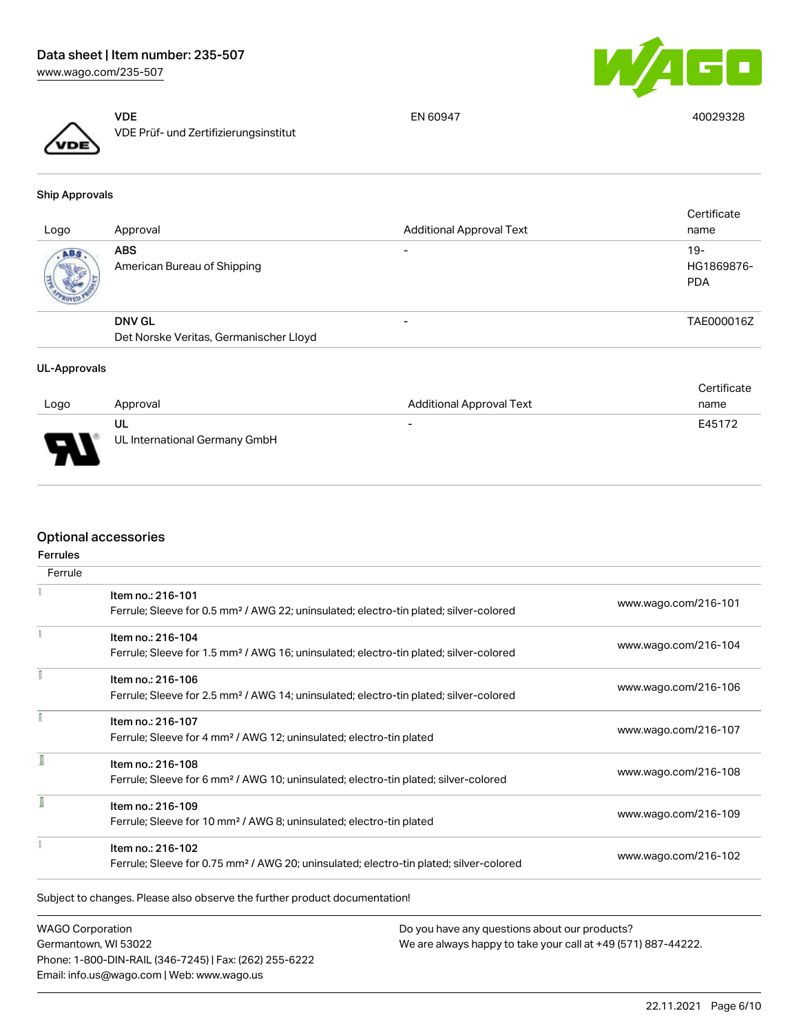

VDE VDE Prüf- und Zertifizierungsinstitut

EN 60947 40029328

Ship Approvals

| Logo       | Approval                                                | <b>Additional Approval Text</b> | Certificate<br>name               |
|------------|---------------------------------------------------------|---------------------------------|-----------------------------------|
| <b>ABS</b> | <b>ABS</b><br>American Bureau of Shipping               | $\overline{\phantom{0}}$        | $19-$<br>HG1869876-<br><b>PDA</b> |
|            | <b>DNV GL</b><br>Det Norske Veritas, Germanischer Lloyd | $\overline{\phantom{0}}$        | TAE000016Z                        |
|            |                                                         |                                 |                                   |

#### UL-Approvals

|          |                               |                                 | Certificate |
|----------|-------------------------------|---------------------------------|-------------|
| Logo     | Approval                      | <b>Additional Approval Text</b> | name        |
|          | UL                            | $\overline{\phantom{0}}$        | E45172      |
| E<br>- 1 | UL International Germany GmbH |                                 |             |

### Optional accessories

| Ferrule |                                                                                                                         |                      |
|---------|-------------------------------------------------------------------------------------------------------------------------|----------------------|
|         | Item no.: 216-101<br>Ferrule; Sleeve for 0.5 mm <sup>2</sup> / AWG 22; uninsulated; electro-tin plated; silver-colored  | www.wago.com/216-101 |
|         | Item no.: 216-104<br>Ferrule; Sleeve for 1.5 mm <sup>2</sup> / AWG 16; uninsulated; electro-tin plated; silver-colored  | www.wago.com/216-104 |
|         | Item no.: 216-106<br>Ferrule; Sleeve for 2.5 mm <sup>2</sup> / AWG 14; uninsulated; electro-tin plated; silver-colored  | www.wago.com/216-106 |
|         | Item no.: 216-107<br>Ferrule; Sleeve for 4 mm <sup>2</sup> / AWG 12; uninsulated; electro-tin plated                    | www.wago.com/216-107 |
|         | Item no.: 216-108<br>Ferrule; Sleeve for 6 mm <sup>2</sup> / AWG 10; uninsulated; electro-tin plated; silver-colored    | www.wago.com/216-108 |
|         | Item no.: 216-109<br>Ferrule; Sleeve for 10 mm <sup>2</sup> / AWG 8; uninsulated; electro-tin plated                    | www.wago.com/216-109 |
|         | Item no.: 216-102<br>Ferrule; Sleeve for 0.75 mm <sup>2</sup> / AWG 20; uninsulated; electro-tin plated; silver-colored | www.wago.com/216-102 |

WAGO Corporation Germantown, WI 53022 Phone: 1-800-DIN-RAIL (346-7245) | Fax: (262) 255-6222 Email: info.us@wago.com | Web: www.wago.us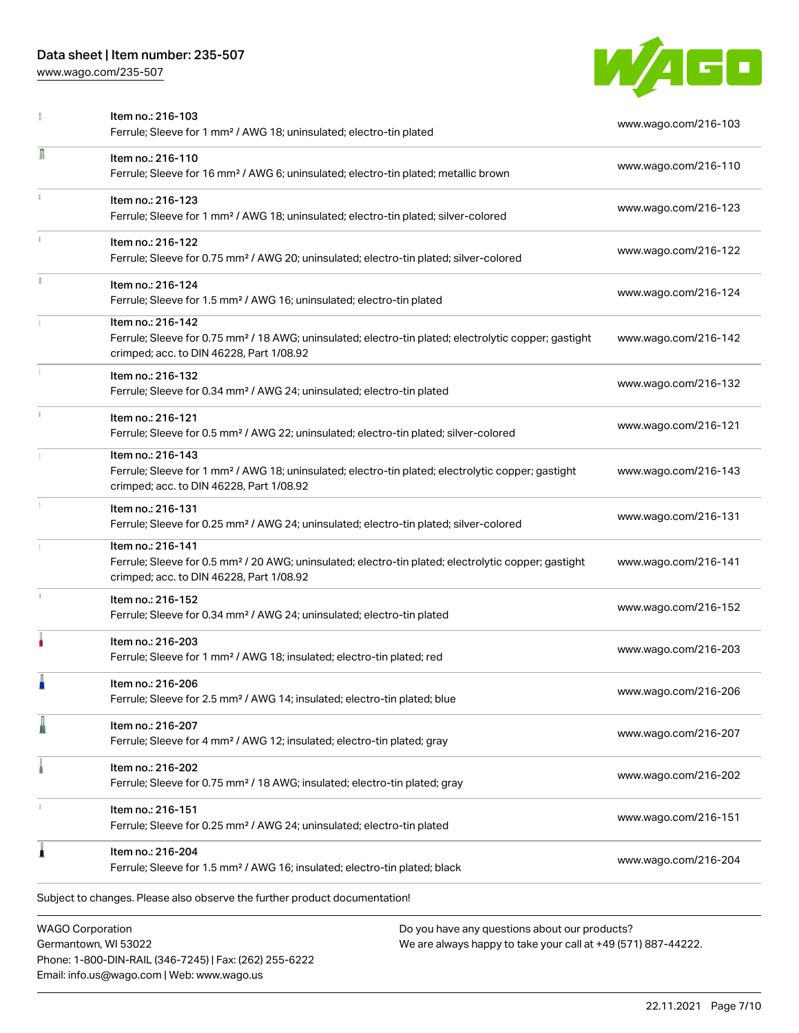Phone: 1-800-DIN-RAIL (346-7245) | Fax: (262) 255-6222

Email: info.us@wago.com | Web: www.wago.us

[www.wago.com/235-507](http://www.wago.com/235-507)



|                                                 | Item no.: 216-103<br>Ferrule; Sleeve for 1 mm <sup>2</sup> / AWG 18; uninsulated; electro-tin plated                                                                               | www.wago.com/216-103                                                                                           |
|-------------------------------------------------|------------------------------------------------------------------------------------------------------------------------------------------------------------------------------------|----------------------------------------------------------------------------------------------------------------|
| Л                                               | Item no.: 216-110<br>Ferrule; Sleeve for 16 mm <sup>2</sup> / AWG 6; uninsulated; electro-tin plated; metallic brown                                                               | www.wago.com/216-110                                                                                           |
|                                                 | Item no.: 216-123<br>Ferrule; Sleeve for 1 mm <sup>2</sup> / AWG 18; uninsulated; electro-tin plated; silver-colored                                                               | www.wago.com/216-123                                                                                           |
|                                                 | Item no.: 216-122<br>Ferrule; Sleeve for 0.75 mm <sup>2</sup> / AWG 20; uninsulated; electro-tin plated; silver-colored                                                            | www.wago.com/216-122                                                                                           |
| I.                                              | Item no.: 216-124<br>Ferrule; Sleeve for 1.5 mm <sup>2</sup> / AWG 16; uninsulated; electro-tin plated                                                                             | www.wago.com/216-124                                                                                           |
|                                                 | Item no.: 216-142<br>Ferrule; Sleeve for 0.75 mm <sup>2</sup> / 18 AWG; uninsulated; electro-tin plated; electrolytic copper; gastight<br>crimped; acc. to DIN 46228, Part 1/08.92 | www.wago.com/216-142                                                                                           |
|                                                 | Item no.: 216-132<br>Ferrule; Sleeve for 0.34 mm <sup>2</sup> / AWG 24; uninsulated; electro-tin plated                                                                            | www.wago.com/216-132                                                                                           |
|                                                 | Item no.: 216-121<br>Ferrule; Sleeve for 0.5 mm <sup>2</sup> / AWG 22; uninsulated; electro-tin plated; silver-colored                                                             | www.wago.com/216-121                                                                                           |
|                                                 | Item no.: 216-143<br>Ferrule; Sleeve for 1 mm <sup>2</sup> / AWG 18; uninsulated; electro-tin plated; electrolytic copper; gastight<br>crimped; acc. to DIN 46228, Part 1/08.92    | www.wago.com/216-143                                                                                           |
|                                                 | Item no.: 216-131<br>Ferrule; Sleeve for 0.25 mm <sup>2</sup> / AWG 24; uninsulated; electro-tin plated; silver-colored                                                            | www.wago.com/216-131                                                                                           |
|                                                 | Item no.: 216-141<br>Ferrule; Sleeve for 0.5 mm <sup>2</sup> / 20 AWG; uninsulated; electro-tin plated; electrolytic copper; gastight<br>crimped; acc. to DIN 46228, Part 1/08.92  | www.wago.com/216-141                                                                                           |
|                                                 | Item no.: 216-152<br>Ferrule; Sleeve for 0.34 mm <sup>2</sup> / AWG 24; uninsulated; electro-tin plated                                                                            | www.wago.com/216-152                                                                                           |
|                                                 | Item no.: 216-203<br>Ferrule; Sleeve for 1 mm <sup>2</sup> / AWG 18; insulated; electro-tin plated; red                                                                            | www.wago.com/216-203                                                                                           |
|                                                 | Item no.: 216-206<br>Ferrule; Sleeve for 2.5 mm <sup>2</sup> / AWG 14; insulated; electro-tin plated; blue                                                                         | www.wago.com/216-206                                                                                           |
|                                                 | Item no.: 216-207<br>Ferrule; Sleeve for 4 mm <sup>2</sup> / AWG 12; insulated; electro-tin plated; gray                                                                           | www.wago.com/216-207                                                                                           |
|                                                 | Item no.: 216-202<br>Ferrule; Sleeve for 0.75 mm <sup>2</sup> / 18 AWG; insulated; electro-tin plated; gray                                                                        | www.wago.com/216-202                                                                                           |
|                                                 | Item no.: 216-151<br>Ferrule; Sleeve for 0.25 mm <sup>2</sup> / AWG 24; uninsulated; electro-tin plated                                                                            | www.wago.com/216-151                                                                                           |
| ۸                                               | Item no.: 216-204<br>Ferrule; Sleeve for 1.5 mm <sup>2</sup> / AWG 16; insulated; electro-tin plated; black                                                                        | www.wago.com/216-204                                                                                           |
|                                                 | Subject to changes. Please also observe the further product documentation!                                                                                                         |                                                                                                                |
| <b>WAGO Corporation</b><br>Germantown, WI 53022 |                                                                                                                                                                                    | Do you have any questions about our products?<br>We are always happy to take your call at +49 (571) 887-44222. |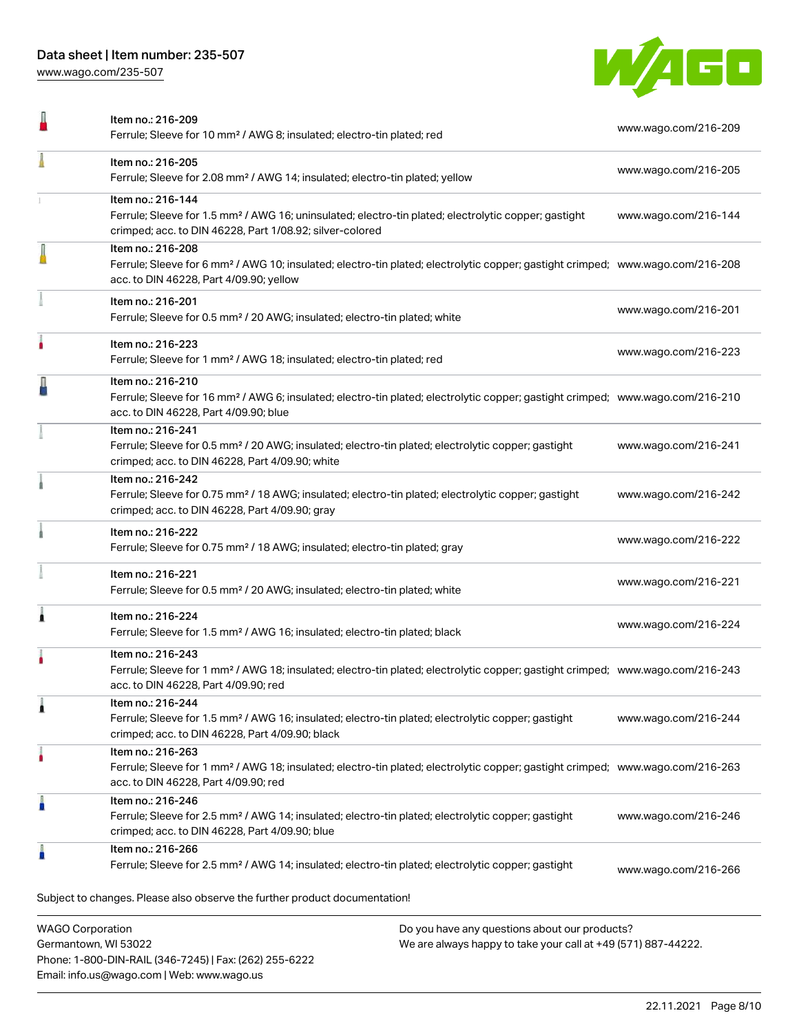Phone: 1-800-DIN-RAIL (346-7245) | Fax: (262) 255-6222

Email: info.us@wago.com | Web: www.wago.us

[www.wago.com/235-507](http://www.wago.com/235-507)



| Item no.: 216-209<br>Ferrule; Sleeve for 10 mm <sup>2</sup> / AWG 8; insulated; electro-tin plated; red                                                                                                    |                                                                                                                | www.wago.com/216-209 |
|------------------------------------------------------------------------------------------------------------------------------------------------------------------------------------------------------------|----------------------------------------------------------------------------------------------------------------|----------------------|
| Item no.: 216-205<br>Ferrule; Sleeve for 2.08 mm <sup>2</sup> / AWG 14; insulated; electro-tin plated; yellow                                                                                              |                                                                                                                | www.wago.com/216-205 |
| Item no.: 216-144<br>Ferrule; Sleeve for 1.5 mm <sup>2</sup> / AWG 16; uninsulated; electro-tin plated; electrolytic copper; gastight<br>crimped; acc. to DIN 46228, Part 1/08.92; silver-colored          |                                                                                                                | www.wago.com/216-144 |
| Item no.: 216-208<br>Ferrule; Sleeve for 6 mm <sup>2</sup> / AWG 10; insulated; electro-tin plated; electrolytic copper; gastight crimped; www.wago.com/216-208<br>acc. to DIN 46228, Part 4/09.90; yellow |                                                                                                                |                      |
| Item no.: 216-201<br>Ferrule; Sleeve for 0.5 mm <sup>2</sup> / 20 AWG; insulated; electro-tin plated; white                                                                                                |                                                                                                                | www.wago.com/216-201 |
| Item no.: 216-223<br>Ferrule; Sleeve for 1 mm <sup>2</sup> / AWG 18; insulated; electro-tin plated; red                                                                                                    |                                                                                                                | www.wago.com/216-223 |
| Item no.: 216-210<br>Ferrule; Sleeve for 16 mm <sup>2</sup> / AWG 6; insulated; electro-tin plated; electrolytic copper; gastight crimped; www.wago.com/216-210<br>acc. to DIN 46228, Part 4/09.90; blue   |                                                                                                                |                      |
| Item no.: 216-241<br>Ferrule; Sleeve for 0.5 mm <sup>2</sup> / 20 AWG; insulated; electro-tin plated; electrolytic copper; gastight<br>crimped; acc. to DIN 46228, Part 4/09.90; white                     |                                                                                                                | www.wago.com/216-241 |
| Item no.: 216-242<br>Ferrule; Sleeve for 0.75 mm <sup>2</sup> / 18 AWG; insulated; electro-tin plated; electrolytic copper; gastight<br>crimped; acc. to DIN 46228, Part 4/09.90; gray                     |                                                                                                                | www.wago.com/216-242 |
| Item no.: 216-222<br>Ferrule; Sleeve for 0.75 mm <sup>2</sup> / 18 AWG; insulated; electro-tin plated; gray                                                                                                |                                                                                                                | www.wago.com/216-222 |
| Item no.: 216-221<br>Ferrule; Sleeve for 0.5 mm <sup>2</sup> / 20 AWG; insulated; electro-tin plated; white                                                                                                |                                                                                                                | www.wago.com/216-221 |
| Item no.: 216-224<br>Ferrule; Sleeve for 1.5 mm <sup>2</sup> / AWG 16; insulated; electro-tin plated; black                                                                                                |                                                                                                                | www.wago.com/216-224 |
| Item no.: 216-243<br>Ferrule; Sleeve for 1 mm <sup>2</sup> / AWG 18; insulated; electro-tin plated; electrolytic copper; gastight crimped; www.wago.com/216-243<br>acc. to DIN 46228, Part 4/09.90; red    |                                                                                                                |                      |
| Item no.: 216-244<br>Ferrule; Sleeve for 1.5 mm <sup>2</sup> / AWG 16; insulated; electro-tin plated; electrolytic copper; gastight<br>crimped; acc. to DIN 46228, Part 4/09.90; black                     |                                                                                                                | www.wago.com/216-244 |
| Item no.: 216-263<br>Ferrule; Sleeve for 1 mm <sup>2</sup> / AWG 18; insulated; electro-tin plated; electrolytic copper; gastight crimped; www.wago.com/216-263<br>acc. to DIN 46228, Part 4/09.90; red    |                                                                                                                |                      |
| Item no.: 216-246<br>Ferrule; Sleeve for 2.5 mm <sup>2</sup> / AWG 14; insulated; electro-tin plated; electrolytic copper; gastight<br>crimped; acc. to DIN 46228, Part 4/09.90; blue                      |                                                                                                                | www.wago.com/216-246 |
| Item no.: 216-266<br>Ferrule; Sleeve for 2.5 mm <sup>2</sup> / AWG 14; insulated; electro-tin plated; electrolytic copper; gastight                                                                        |                                                                                                                | www.wago.com/216-266 |
| Subject to changes. Please also observe the further product documentation!                                                                                                                                 |                                                                                                                |                      |
| <b>WAGO Corporation</b><br>Germantown, WI 53022                                                                                                                                                            | Do you have any questions about our products?<br>We are always happy to take your call at +49 (571) 887-44222. |                      |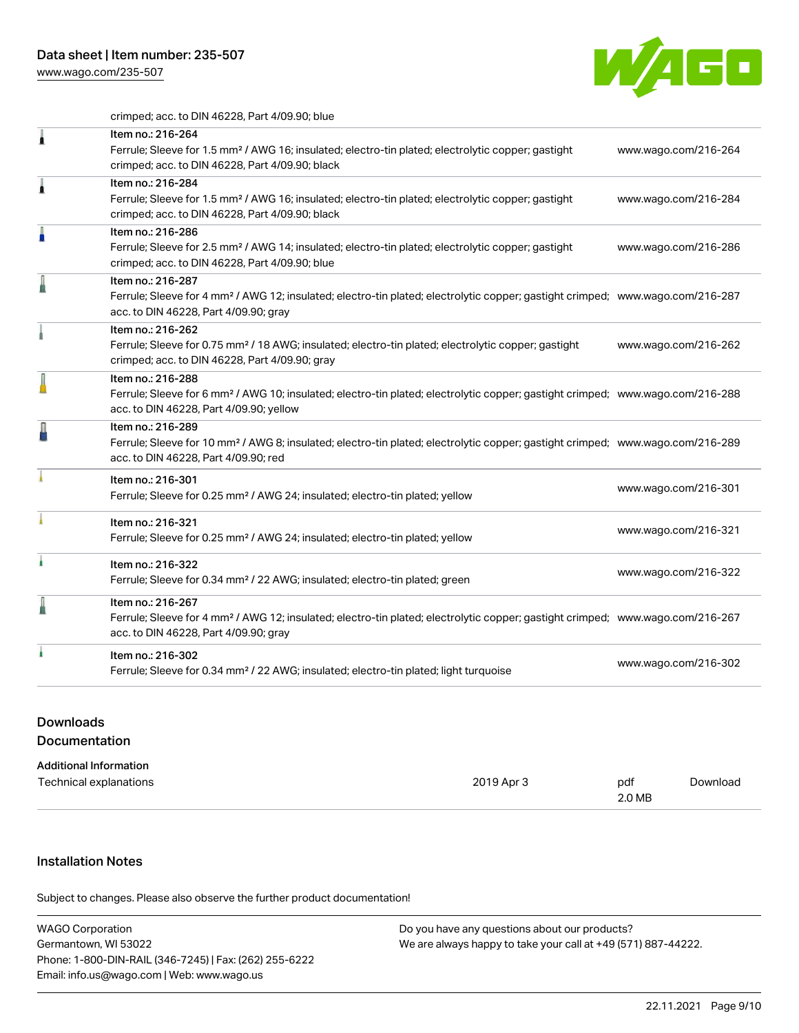[www.wago.com/235-507](http://www.wago.com/235-507)



crimped; acc. to DIN 46228, Part 4/09.90; blue

| 1 | Item no.: 216-264<br>Ferrule; Sleeve for 1.5 mm <sup>2</sup> / AWG 16; insulated; electro-tin plated; electrolytic copper; gastight<br>crimped; acc. to DIN 46228, Part 4/09.90; black                     | www.wago.com/216-264 |
|---|------------------------------------------------------------------------------------------------------------------------------------------------------------------------------------------------------------|----------------------|
| Â | Item no.: 216-284<br>Ferrule; Sleeve for 1.5 mm <sup>2</sup> / AWG 16; insulated; electro-tin plated; electrolytic copper; gastight<br>crimped; acc. to DIN 46228, Part 4/09.90; black                     | www.wago.com/216-284 |
| I | Item no.: 216-286<br>Ferrule; Sleeve for 2.5 mm <sup>2</sup> / AWG 14; insulated; electro-tin plated; electrolytic copper; gastight<br>crimped; acc. to DIN 46228, Part 4/09.90; blue                      | www.wago.com/216-286 |
|   | Item no.: 216-287<br>Ferrule; Sleeve for 4 mm <sup>2</sup> / AWG 12; insulated; electro-tin plated; electrolytic copper; gastight crimped; www.wago.com/216-287<br>acc. to DIN 46228, Part 4/09.90; gray   |                      |
|   | Item no.: 216-262<br>Ferrule; Sleeve for 0.75 mm <sup>2</sup> / 18 AWG; insulated; electro-tin plated; electrolytic copper; gastight<br>crimped; acc. to DIN 46228, Part 4/09.90; gray                     | www.wago.com/216-262 |
|   | Item no.: 216-288<br>Ferrule; Sleeve for 6 mm <sup>2</sup> / AWG 10; insulated; electro-tin plated; electrolytic copper; gastight crimped; www.wago.com/216-288<br>acc. to DIN 46228, Part 4/09.90; yellow |                      |
|   | Item no.: 216-289<br>Ferrule; Sleeve for 10 mm <sup>2</sup> / AWG 8; insulated; electro-tin plated; electrolytic copper; gastight crimped; www.wago.com/216-289<br>acc. to DIN 46228, Part 4/09.90; red    |                      |
|   | Item no.: 216-301<br>Ferrule; Sleeve for 0.25 mm <sup>2</sup> / AWG 24; insulated; electro-tin plated; yellow                                                                                              | www.wago.com/216-301 |
|   | Item no.: 216-321<br>Ferrule; Sleeve for 0.25 mm <sup>2</sup> / AWG 24; insulated; electro-tin plated; yellow                                                                                              | www.wago.com/216-321 |
|   | Item no.: 216-322<br>Ferrule; Sleeve for 0.34 mm <sup>2</sup> / 22 AWG; insulated; electro-tin plated; green                                                                                               | www.wago.com/216-322 |
|   | Item no.: 216-267<br>Ferrule; Sleeve for 4 mm <sup>2</sup> / AWG 12; insulated; electro-tin plated; electrolytic copper; gastight crimped; www.wago.com/216-267<br>acc. to DIN 46228, Part 4/09.90; gray   |                      |
|   | Item no.: 216-302<br>Ferrule; Sleeve for 0.34 mm <sup>2</sup> / 22 AWG; insulated; electro-tin plated; light turquoise                                                                                     | www.wago.com/216-302 |

# Downloads Documentation

| <b>Additional Information</b> |            |        |          |
|-------------------------------|------------|--------|----------|
| Technical explanations        | 2019 Apr 3 | pdf    | Download |
|                               |            | 2.0 MB |          |

## Installation Notes

Subject to changes. Please also observe the further product documentation!

| WAGO Corporation                                       | Do you have any questions about our products?                 |
|--------------------------------------------------------|---------------------------------------------------------------|
| Germantown, WI 53022                                   | We are always happy to take your call at +49 (571) 887-44222. |
| Phone: 1-800-DIN-RAIL (346-7245)   Fax: (262) 255-6222 |                                                               |
| Email: info.us@wago.com   Web: www.wago.us             |                                                               |